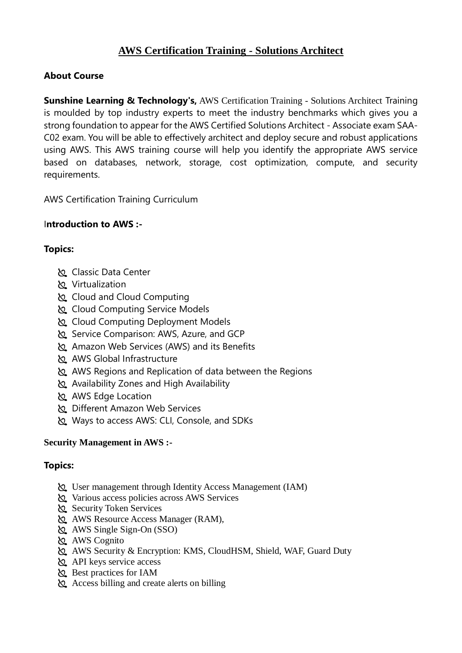# **AWS Certification Training - Solutions Architect**

# **About Course**

**Sunshine Learning & Technology's,** AWS Certification Training - Solutions Architect Training is moulded by top industry experts to meet the industry benchmarks which gives you a strong foundation to appear for the AWS Certified Solutions Architect - Associate exam SAA-C02 exam. You will be able to effectively architect and deploy secure and robust applications using AWS. This AWS training course will help you identify the appropriate AWS service based on databases, network, storage, cost optimization, compute, and security requirements.

AWS Certification Training Curriculum

# I**ntroduction to AWS :-**

# **Topics:**

- Classic Data Center
- Virtualization
- Cloud and Cloud Computing
- Cloud Computing Service Models
- Cloud Computing Deployment Models
- Service Comparison: AWS, Azure, and GCP
- Amazon Web Services (AWS) and its Benefits
- AWS Global Infrastructure
- AWS Regions and Replication of data between the Regions
- Availability Zones and High Availability
- AWS Edge Location
- Different Amazon Web Services
- Ways to access AWS: CLI, Console, and SDKs

# **Security Management in AWS :-**

- User management through Identity Access Management (IAM)
- Various access policies across AWS Services
- Security Token Services
- AWS Resource Access Manager (RAM),
- AWS Single Sign-On (SSO)
- AWS Cognito
- AWS Security & Encryption: KMS, CloudHSM, Shield, WAF, Guard Duty
- $\&$  API keys service access
- Best practices for IAM
- Access billing and create alerts on billing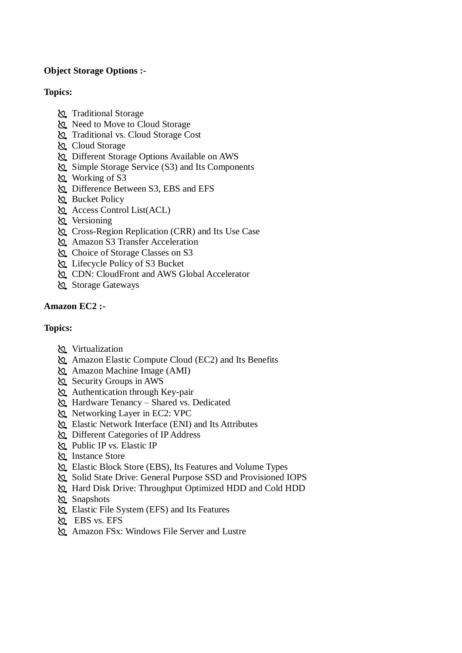### **Object Storage Options :-**

#### **Topics:**

- Traditional Storage
- Reed to Move to Cloud Storage
- Traditional vs. Cloud Storage Cost
- Cloud Storage
- Different Storage Options Available on AWS
- Simple Storage Service (S3) and Its Components
- Working of S3
- Difference Between S3, EBS and EFS
- **Bucket Policy**
- Access Control List(ACL)
- **Versioning**
- Cross-Region Replication (CRR) and Its Use Case
- Amazon S3 Transfer Acceleration
- Choice of Storage Classes on S3
- Lifecycle Policy of S3 Bucket
- CDN: CloudFront and AWS Global Accelerator
- Storage Gateways

### **Amazon EC2 :-**

- **N** Virtualization
- Amazon Elastic Compute Cloud (EC2) and Its Benefits
- Amazon Machine Image (AMI)
- Security Groups in AWS
- Authentication through Key-pair
- Hardware Tenancy Shared vs. Dedicated
- Networking Layer in EC2: VPC
- Elastic Network Interface (ENI) and Its Attributes
- Different Categories of IP Address
- Public IP vs. Elastic IP
- **Z** Instance Store
- Elastic Block Store (EBS), Its Features and Volume Types
- Solid State Drive: General Purpose SSD and Provisioned IOPS
- Hard Disk Drive: Throughput Optimized HDD and Cold HDD
- **Snapshots**
- Elastic File System (EFS) and Its Features
- EBS vs. EFS
- Amazon FSx: Windows File Server and Lustre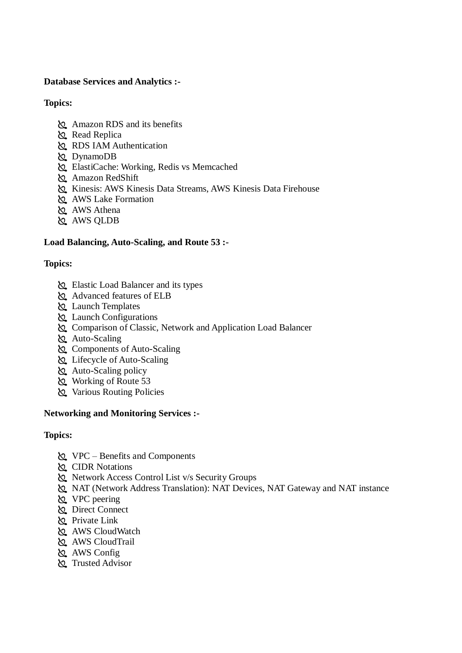#### **Database Services and Analytics :-**

#### **Topics:**

- Amazon RDS and its benefits
- Read Replica
- RDS IAM Authentication
- DynamoDB
- ElastiCache: Working, Redis vs Memcached
- Amazon RedShift
- Kinesis: AWS Kinesis Data Streams, AWS Kinesis Data Firehouse
- AWS Lake Formation
- AWS Athena
- **AWS QLDB**

### **Load Balancing, Auto-Scaling, and Route 53 :-**

### **Topics:**

- Elastic Load Balancer and its types
- Advanced features of ELB
- Launch Templates
- Launch Configurations
- Comparison of Classic, Network and Application Load Balancer
- Auto-Scaling
- Components of Auto-Scaling
- Lifecycle of Auto-Scaling
- Auto-Scaling policy
- Working of Route 53
- **Various Routing Policies**

#### **Networking and Monitoring Services :-**

- VPC Benefits and Components
- **K** CIDR Notations
- Network Access Control List v/s Security Groups
- NAT (Network Address Translation): NAT Devices, NAT Gateway and NAT instance
- VPC peering
- **Direct Connect**
- Private Link
- AWS CloudWatch
- AWS CloudTrail
- **AWS** Config
- Trusted Advisor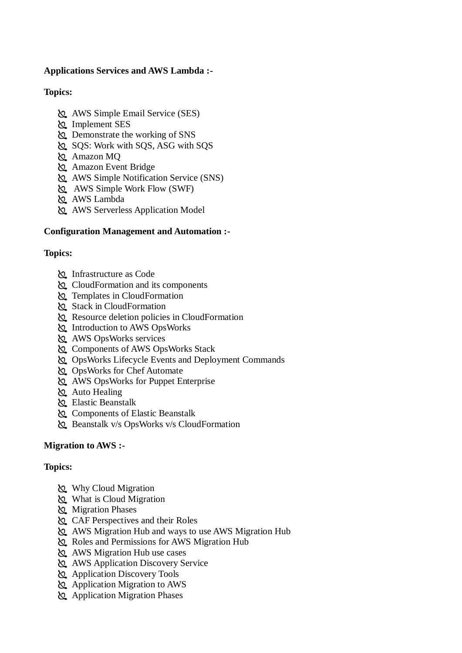### **Applications Services and AWS Lambda :-**

### **Topics:**

- AWS Simple Email Service (SES)
- Implement SES
- Demonstrate the working of SNS
- SQS: Work with SQS, ASG with SQS
- Amazon MQ
- Amazon Event Bridge
- AWS Simple Notification Service (SNS)
- AWS Simple Work Flow (SWF)
- AWS Lambda
- AWS Serverless Application Model

### **Configuration Management and Automation :-**

### **Topics:**

- Infrastructure as Code
- CloudFormation and its components
- **Templates in CloudFormation**
- Stack in CloudFormation
- Resource deletion policies in CloudFormation
- Introduction to AWS OpsWorks
- AWS OpsWorks services
- Components of AWS OpsWorks Stack
- OpsWorks Lifecycle Events and Deployment Commands
- OpsWorks for Chef Automate
- AWS OpsWorks for Puppet Enterprise
- Auto Healing
- Elastic Beanstalk
- Components of Elastic Beanstalk
- Beanstalk v/s OpsWorks v/s CloudFormation

#### **Migration to AWS :-**

- Why Cloud Migration
- What is Cloud Migration
- Migration Phases
- CAF Perspectives and their Roles
- AWS Migration Hub and ways to use AWS Migration Hub
- Roles and Permissions for AWS Migration Hub
- AWS Migration Hub use cases
- AWS Application Discovery Service
- Application Discovery Tools
- Application Migration to AWS
- Application Migration Phases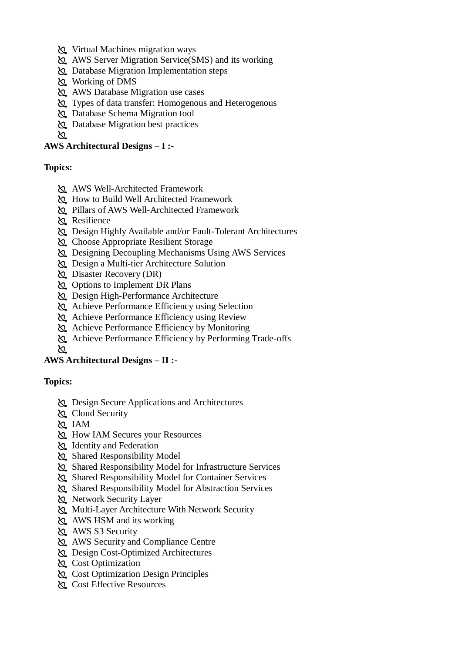- Virtual Machines migration ways
- AWS Server Migration Service(SMS) and its working
- Database Migration Implementation steps
- Working of DMS
- AWS Database Migration use cases
- Types of data transfer: Homogenous and Heterogenous
- Database Schema Migration tool
- Database Migration best practices

 $\infty$ 

### **AWS Architectural Designs – I :-**

#### **Topics:**

- AWS Well-Architected Framework
- How to Build Well Architected Framework
- Pillars of AWS Well-Architected Framework
- Resilience
- $\Omega$  Design Highly Available and/or Fault-Tolerant Architectures
- Choose Appropriate Resilient Storage
- Designing Decoupling Mechanisms Using AWS Services
- Design a Multi-tier Architecture Solution
- Disaster Recovery (DR)
- Options to Implement DR Plans
- Design High-Performance Architecture
- Achieve Performance Efficiency using Selection
- Achieve Performance Efficiency using Review
- Achieve Performance Efficiency by Monitoring
- Achieve Performance Efficiency by Performing Trade-offs
- ∖Ջ

# **AWS Architectural Designs – II :-**

- Design Secure Applications and Architectures
- Cloud Security
- IAM
- How IAM Secures your Resources
- **Identity and Federation**
- Shared Responsibility Model
- Shared Responsibility Model for Infrastructure Services
- Shared Responsibility Model for Container Services
- Shared Responsibility Model for Abstraction Services
- Retwork Security Layer
- Multi-Layer Architecture With Network Security
- AWS HSM and its working
- AWS S3 Security
- AWS Security and Compliance Centre
- Design Cost-Optimized Architectures
- **Cost Optimization**
- Cost Optimization Design Principles
- Cost Effective Resources